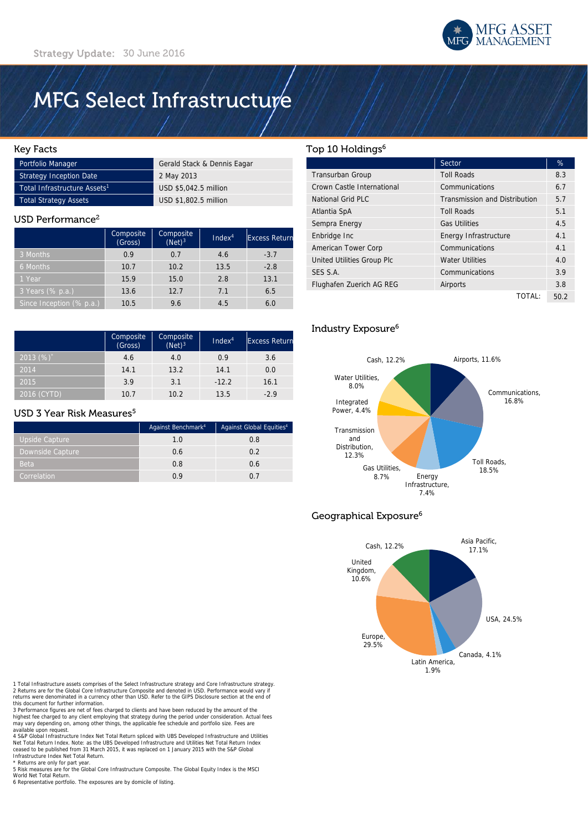

# **MFG Select Infrastructure**

## Key Facts

| Portfolio Manager                        | Gerald Stack & Dennis Eagar |
|------------------------------------------|-----------------------------|
| <b>Strategy Inception Date</b>           | 2 May 2013                  |
| Total Infrastructure Assets <sup>1</sup> | USD \$5.042.5 million       |
| Total Strategy Assets                    | USD \$1,802.5 million       |

#### USD Performance<sup>2</sup>

|                          | Composite<br>(Gross) | Composite<br>$(Net)^3$ | Index <sup>4</sup> | <b>Excess Return</b> |
|--------------------------|----------------------|------------------------|--------------------|----------------------|
| 3 Months                 | 0.9                  | 0.7                    | 4.6                | $-3.7$               |
| 6 Months                 | 10.7                 | 10.2                   | 13.5               | $-2.8$               |
| 1 Year                   | 15.9                 | 15.0                   | 2.8                | 13.1                 |
| 3 Years (% p.a.)         | 13.6                 | 12.7                   | 7.1                | 6.5                  |
| Since Inception (% p.a.) | 10.5                 | 9.6                    | 4.5                | 6.0                  |

|              | Composite<br>(cross) | Composite<br>$(Net)^3$ | Index <sup>4</sup> | <b>Excess Return</b> |
|--------------|----------------------|------------------------|--------------------|----------------------|
| 2013 $(%)^*$ | 4.6                  | 4.0                    | 0.9                | 3.6                  |
| 2014         | 14.1                 | 13.2                   | 14.1               | 0.0                  |
| 2015         | 3.9                  | 3.1                    | $-12.2$            | 16.1                 |
| 2016 (CYTD)  | 10.7                 | 10.2                   | 13.5               | $-2.9$               |

### USD 3 Year Risk Measures<sup>5</sup>

|                  | Against Benchmark <sup>4</sup> | Against Global Equities <sup>4</sup> |
|------------------|--------------------------------|--------------------------------------|
| Upside Capture   | 1.0                            | 0.8                                  |
| Downside Capture | 0.6                            | 0.2                                  |
| <b>Beta</b>      | 0.8                            | 0.6                                  |
| Correlation      | 0.9                            | በ 7                                  |

## Top 10 Holdings<sup>6</sup>

|                            | Sector                               | %    |
|----------------------------|--------------------------------------|------|
| Transurban Group           | <b>Toll Roads</b>                    | 8.3  |
| Crown Castle International | Communications                       | 6.7  |
| National Grid PLC          | <b>Transmission and Distribution</b> | 5.7  |
| Atlantia SpA               | <b>Toll Roads</b>                    | 5.1  |
| Sempra Energy              | <b>Gas Utilities</b>                 | 4.5  |
| Enbridge Inc               | Energy Infrastructure                | 4.1  |
| American Tower Corp        | Communications                       | 4.1  |
| United Utilities Group Plc | <b>Water Utilities</b>               | 4.0  |
| SES S.A.                   | Communications                       | 3.9  |
| Flughafen Zuerich AG REG   | Airports                             | 3.8  |
|                            | TOTAL:                               | 50.2 |

# Industry Exposure6



# Geographical Exposure<sup>6</sup>



1 Total Infrastructure assets comprises of the Select Infrastructure strategy and Core Infrastructure strategy. 2 Returns are for the Global Core Infrastructure Composite and denoted in USD. Performance would vary if returns were denominated in a currency other than USD. Refer to the GIPS Disclosure section at the end of this document for further information.

3 Performance figures are net of fees charged to clients and have been reduced by the amount of the<br>highest fee charged to any client employing that strategy during the period under consideration. Actual fees<br>may vary depe available upon request.

4 S&P Global Infrastructure Index Net Total Return spliced with UBS Developed Infrastructure and Utilities Net Total Return Index. Note: as the UBS Developed Infrastructure and Utilities Net Total Return Index ceased to be published from 31 March 2015, it was replaced on 1 January 2015 with the S&P Global Infrastructure Index Net Total Return.

\* Returns are only for part year 5 Risk measures are for the Global Core Infrastructure Composite. The Global Equity Index is the MSCI World Net Total Return.

6 Representative portfolio. The exposures are by domicile of listing.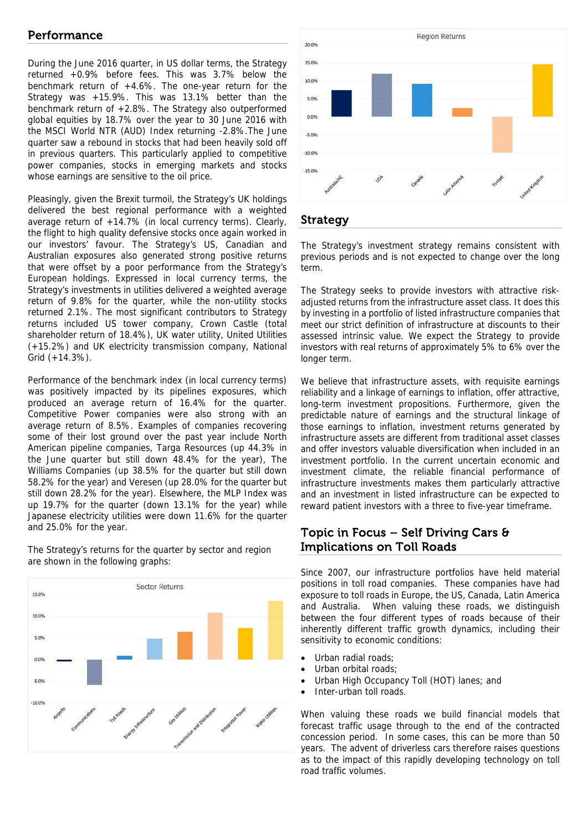# Performance

During the June 2016 quarter, in US dollar terms, the Strategy returned +0.9% before fees. This was 3.7% below the benchmark return of +4.6%. The one-year return for the Strategy was +15.9%. This was 13.1% better than the benchmark return of +2.8%. The Strategy also outperformed global equities by 18.7% over the year to 30 June 2016 with the MSCI World NTR (AUD) Index returning -2.8%.The June quarter saw a rebound in stocks that had been heavily sold off in previous quarters. This particularly applied to competitive power companies, stocks in emerging markets and stocks whose earnings are sensitive to the oil price.

Pleasingly, given the Brexit turmoil, the Strategy's UK holdings delivered the best regional performance with a weighted average return of  $+14.7\%$  (in local currency terms). Clearly, the flight to high quality defensive stocks once again worked in our investors' favour. The Strategy's US, Canadian and Australian exposures also generated strong positive returns that were offset by a poor performance from the Strategy's European holdings. Expressed in local currency terms, the Strategy's investments in utilities delivered a weighted average return of 9.8% for the quarter, while the non-utility stocks returned 2.1%. The most significant contributors to Strategy returns included US tower company, Crown Castle (total shareholder return of 18.4%), UK water utility, United Utilities (+15.2%) and UK electricity transmission company, National Grid (+14.3%).

Performance of the benchmark index (in local currency terms) was positively impacted by its pipelines exposures, which produced an average return of 16.4% for the quarter. Competitive Power companies were also strong with an average return of 8.5%. Examples of companies recovering some of their lost ground over the past year include North American pipeline companies, Targa Resources (up 44.3% in the June quarter but still down 48.4% for the year), The Williams Companies (up 38.5% for the quarter but still down 58.2% for the year) and Veresen (up 28.0% for the quarter but still down 28.2% for the year). Elsewhere, the MLP Index was up 19.7% for the quarter (down 13.1% for the year) while Japanese electricity utilities were down 11.6% for the quarter and 25.0% for the year.

The Strategy's returns for the quarter by sector and region are shown in the following graphs:





# Strategy

The Strategy's investment strategy remains consistent with previous periods and is not expected to change over the long term.

The Strategy seeks to provide investors with attractive riskadjusted returns from the infrastructure asset class. It does this by investing in a portfolio of listed infrastructure companies that meet our strict definition of infrastructure at discounts to their assessed intrinsic value. We expect the Strategy to provide investors with real returns of approximately 5% to 6% over the longer term.

We believe that infrastructure assets, with requisite earnings reliability and a linkage of earnings to inflation, offer attractive, long-term investment propositions. Furthermore, given the predictable nature of earnings and the structural linkage of those earnings to inflation, investment returns generated by infrastructure assets are different from traditional asset classes and offer investors valuable diversification when included in an investment portfolio. In the current uncertain economic and investment climate, the reliable financial performance of infrastructure investments makes them particularly attractive and an investment in listed infrastructure can be expected to reward patient investors with a three to five-year timeframe.

# Topic in Focus – Self Driving Cars  $\theta$ Implications on Toll Roads

Since 2007, our infrastructure portfolios have held material positions in toll road companies. These companies have had exposure to toll roads in Europe, the US, Canada, Latin America and Australia. When valuing these roads, we distinguish between the four different types of roads because of their inherently different traffic growth dynamics, including their sensitivity to economic conditions:

- Urban radial roads:
- Urban orbital roads;
- Urban High Occupancy Toll (HOT) lanes; and
- Inter-urban toll roads.

When valuing these roads we build financial models that forecast traffic usage through to the end of the contracted concession period. In some cases, this can be more than 50 years. The advent of driverless cars therefore raises questions as to the impact of this rapidly developing technology on toll road traffic volumes.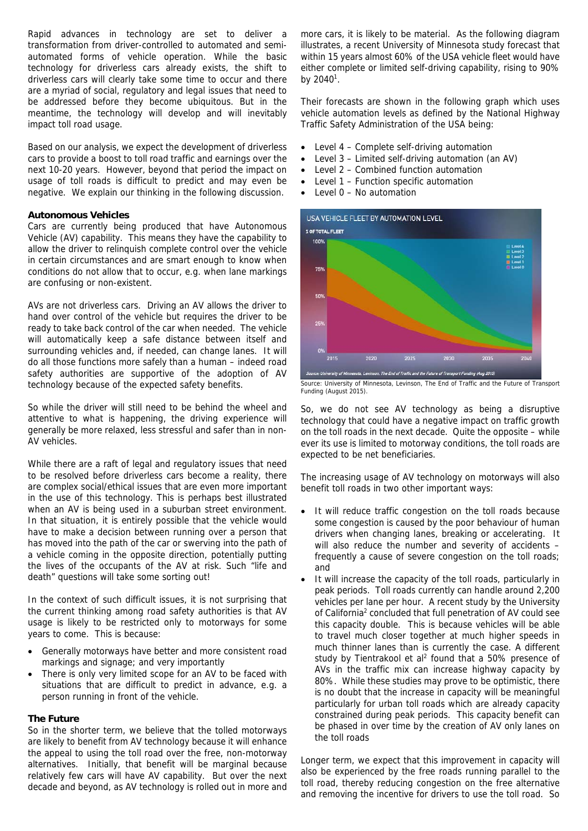Rapid advances in technology are set to deliver a transformation from driver-controlled to automated and semiautomated forms of vehicle operation. While the basic technology for driverless cars already exists, the shift to driverless cars will clearly take some time to occur and there are a myriad of social, regulatory and legal issues that need to be addressed before they become ubiquitous. But in the meantime, the technology will develop and will inevitably impact toll road usage.

Based on our analysis, we expect the development of driverless cars to provide a boost to toll road traffic and earnings over the next 10-20 years. However, beyond that period the impact on usage of toll roads is difficult to predict and may even be negative. We explain our thinking in the following discussion.

### **Autonomous Vehicles**

Cars are currently being produced that have Autonomous Vehicle (AV) capability. This means they have the capability to allow the driver to relinquish complete control over the vehicle in certain circumstances and are smart enough to know when conditions do not allow that to occur, e.g. when lane markings are confusing or non-existent.

AVs are not driverless cars. Driving an AV allows the driver to hand over control of the vehicle but requires the driver to be ready to take back control of the car when needed. The vehicle will automatically keep a safe distance between itself and surrounding vehicles and, if needed, can change lanes. It will do all those functions more safely than a human – indeed road safety authorities are supportive of the adoption of AV technology because of the expected safety benefits.

So while the driver will still need to be behind the wheel and attentive to what is happening, the driving experience will generally be more relaxed, less stressful and safer than in non-AV vehicles.

While there are a raft of legal and regulatory issues that need to be resolved before driverless cars become a reality, there are complex social/ethical issues that are even more important in the use of this technology. This is perhaps best illustrated when an AV is being used in a suburban street environment. In that situation, it is entirely possible that the vehicle would have to make a decision between running over a person that has moved into the path of the car or swerving into the path of a vehicle coming in the opposite direction, potentially putting the lives of the occupants of the AV at risk. Such "life and death" questions will take some sorting out!

In the context of such difficult issues, it is not surprising that the current thinking among road safety authorities is that AV usage is likely to be restricted only to motorways for some years to come. This is because:

- Generally motorways have better and more consistent road markings and signage; and very importantly
- There is only very limited scope for an AV to be faced with situations that are difficult to predict in advance, e.g. a person running in front of the vehicle.

# **The Future**

So in the shorter term, we believe that the tolled motorways are likely to benefit from AV technology because it will enhance the appeal to using the toll road over the free, non-motorway alternatives. Initially, that benefit will be marginal because relatively few cars will have AV capability. But over the next decade and beyond, as AV technology is rolled out in more and

more cars, it is likely to be material. As the following diagram illustrates, a recent University of Minnesota study forecast that within 15 years almost 60% of the USA vehicle fleet would have either complete or limited self-driving capability, rising to 90% by  $2040^1$ .

Their forecasts are shown in the following graph which uses vehicle automation levels as defined by the National Highway Traffic Safety Administration of the USA being:

- Level 4 Complete self-driving automation
- Level 3 Limited self-driving automation (an AV)
- Level 2 Combined function automation
- Level 1 Function specific automation
- Level 0 No automation



Source: University of Minnesota, Levinson, The End of Traffic and the Future of Transport Funding (August 2015).

So, we do not see AV technology as being a disruptive technology that could have a negative impact on traffic growth on the toll roads in the next decade. Quite the opposite – while ever its use is limited to motorway conditions, the toll roads are expected to be net beneficiaries.

The increasing usage of AV technology on motorways will also benefit toll roads in two other important ways:

- It will reduce traffic congestion on the toll roads because some congestion is caused by the poor behaviour of human drivers when changing lanes, breaking or accelerating. It will also reduce the number and severity of accidents frequently a cause of severe congestion on the toll roads; and
- It will increase the capacity of the toll roads, particularly in peak periods. Toll roads currently can handle around 2,200 vehicles per lane per hour. A recent study by the University of California<sup>2</sup> concluded that full penetration of AV could see this capacity double. This is because vehicles will be able to travel much closer together at much higher speeds in much thinner lanes than is currently the case. A different study by Tientrakool et al<sup>2</sup> found that a 50% presence of AVs in the traffic mix can increase highway capacity by 80%. While these studies may prove to be optimistic, there is no doubt that the increase in capacity will be meaningful particularly for urban toll roads which are already capacity constrained during peak periods. This capacity benefit can be phased in over time by the creation of AV only lanes on the toll roads

Longer term, we expect that this improvement in capacity will also be experienced by the free roads running parallel to the toll road, thereby reducing congestion on the free alternative and removing the incentive for drivers to use the toll road. So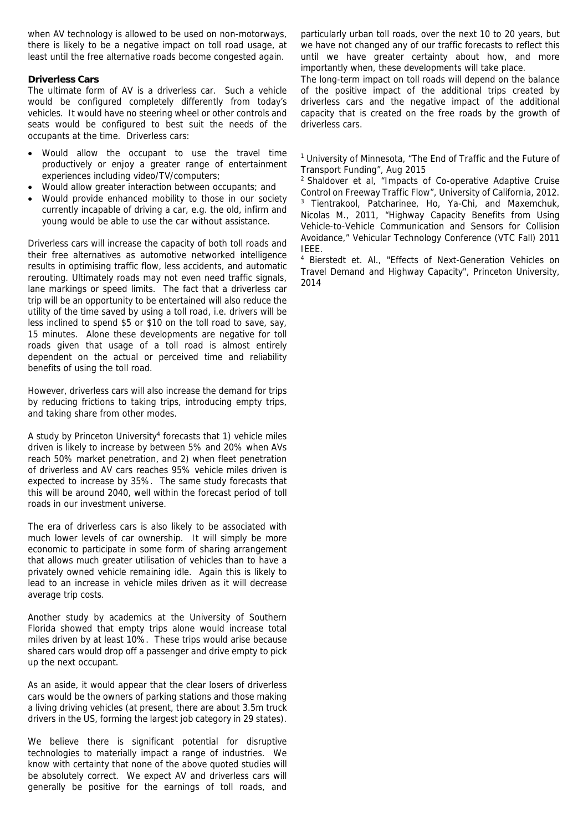when AV technology is allowed to be used on non-motorways, there is likely to be a negative impact on toll road usage, at least until the free alternative roads become congested again.

# **Driverless Cars**

The ultimate form of AV is a driverless car. Such a vehicle would be configured completely differently from today's vehicles. It would have no steering wheel or other controls and seats would be configured to best suit the needs of the occupants at the time. Driverless cars:

- Would allow the occupant to use the travel time productively or enjoy a greater range of entertainment experiences including video/TV/computers;
- Would allow greater interaction between occupants; and
- Would provide enhanced mobility to those in our society currently incapable of driving a car, e.g. the old, infirm and young would be able to use the car without assistance.

Driverless cars will increase the capacity of both toll roads and their free alternatives as automotive networked intelligence results in optimising traffic flow, less accidents, and automatic rerouting. Ultimately roads may not even need traffic signals, lane markings or speed limits. The fact that a driverless car trip will be an opportunity to be entertained will also reduce the utility of the time saved by using a toll road, i.e. drivers will be less inclined to spend \$5 or \$10 on the toll road to save, say, 15 minutes. Alone these developments are negative for toll roads given that usage of a toll road is almost entirely dependent on the actual or perceived time and reliability benefits of using the toll road.

However, driverless cars will also increase the demand for trips by reducing frictions to taking trips, introducing empty trips, and taking share from other modes.

A study by Princeton University<sup>4</sup> forecasts that 1) vehicle miles driven is likely to increase by between 5% and 20% when AVs reach 50% market penetration, and 2) when fleet penetration of driverless and AV cars reaches 95% vehicle miles driven is expected to increase by 35%. The same study forecasts that this will be around 2040, well within the forecast period of toll roads in our investment universe.

The era of driverless cars is also likely to be associated with much lower levels of car ownership. It will simply be more economic to participate in some form of sharing arrangement that allows much greater utilisation of vehicles than to have a privately owned vehicle remaining idle. Again this is likely to lead to an increase in vehicle miles driven as it will decrease average trip costs.

Another study by academics at the University of Southern Florida showed that empty trips alone would increase total miles driven by at least 10%. These trips would arise because shared cars would drop off a passenger and drive empty to pick up the next occupant.

As an aside, it would appear that the clear losers of driverless cars would be the owners of parking stations and those making a living driving vehicles (at present, there are about 3.5m truck drivers in the US, forming the largest job category in 29 states).

We believe there is significant potential for disruptive technologies to materially impact a range of industries. We know with certainty that none of the above quoted studies will be absolutely correct. We expect AV and driverless cars will generally be positive for the earnings of toll roads, and

particularly urban toll roads, over the next 10 to 20 years, but we have not changed any of our traffic forecasts to reflect this until we have greater certainty about how, and more importantly when, these developments will take place.

The long-term impact on toll roads will depend on the balance of the positive impact of the additional trips created by driverless cars and the negative impact of the additional capacity that is created on the free roads by the growth of driverless cars.

<sup>1</sup> University of Minnesota, "The End of Traffic and the Future of Transport Funding", Aug 2015

2 Shaldover et al, "Impacts of Co-operative Adaptive Cruise Control on Freeway Traffic Flow", University of California, 2012. <sup>3</sup> Tientrakool, Patcharinee, Ho, Ya-Chi, and Maxemchuk, Nicolas M., 2011, "Highway Capacity Benefits from Using Vehicle-to-Vehicle Communication and Sensors for Collision Avoidance," Vehicular Technology Conference (VTC Fall) 2011 IEEE.

4 Bierstedt et. Al., "Effects of Next-Generation Vehicles on Travel Demand and Highway Capacity", Princeton University, 2014